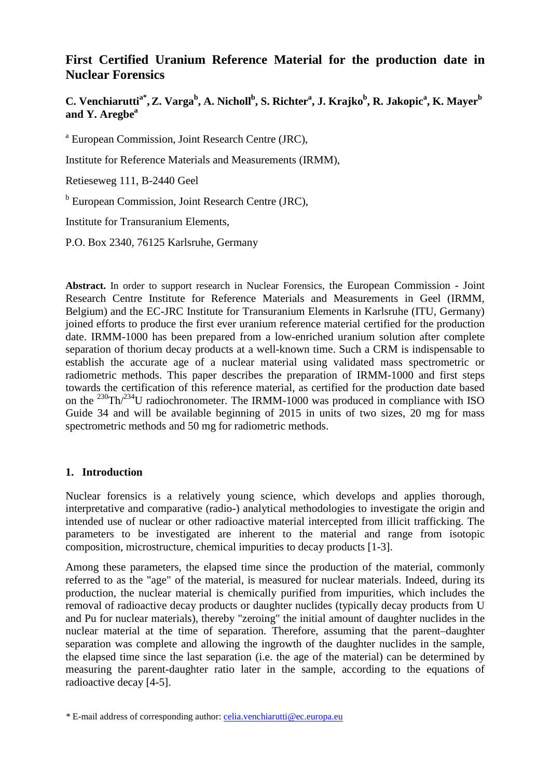# **First Certified Uranium Reference Material for the production date in Nuclear Forensics**

**C. Venchiaruttia\* , Z. Varga<sup>b</sup> , A. Nicholl<sup>b</sup> , S. Richter<sup>a</sup> , J. Krajko<sup>b</sup> , R. Jakopic<sup>a</sup> , K. Mayer<sup>b</sup> and Y. Aregbe<sup>a</sup>** 

<sup>a</sup> European Commission, Joint Research Centre (JRC),

Institute for Reference Materials and Measurements (IRMM),

Retieseweg 111, B-2440 Geel

<sup>b</sup> European Commission, Joint Research Centre (JRC),

Institute for Transuranium Elements,

P.O. Box 2340, 76125 Karlsruhe, Germany

**Abstract.** In order to support research in Nuclear Forensics, the European Commission - Joint Research Centre Institute for Reference Materials and Measurements in Geel (IRMM, Belgium) and the EC-JRC Institute for Transuranium Elements in Karlsruhe (ITU, Germany) joined efforts to produce the first ever uranium reference material certified for the production date. IRMM-1000 has been prepared from a low-enriched uranium solution after complete separation of thorium decay products at a well-known time. Such a CRM is indispensable to establish the accurate age of a nuclear material using validated mass spectrometric or radiometric methods. This paper describes the preparation of IRMM-1000 and first steps towards the certification of this reference material, as certified for the production date based on the  $^{230} \text{Th}/^{234}$ U radiochronometer. The IRMM-1000 was produced in compliance with ISO Guide 34 and will be available beginning of 2015 in units of two sizes, 20 mg for mass spectrometric methods and 50 mg for radiometric methods.

# **1. Introduction**

Nuclear forensics is a relatively young science, which develops and applies thorough, interpretative and comparative (radio-) analytical methodologies to investigate the origin and intended use of nuclear or other radioactive material intercepted from illicit trafficking. The parameters to be investigated are inherent to the material and range from isotopic composition, microstructure, chemical impurities to decay products [1-3].

Among these parameters, the elapsed time since the production of the material, commonly referred to as the "age" of the material, is measured for nuclear materials. Indeed, during its production, the nuclear material is chemically purified from impurities, which includes the removal of radioactive decay products or daughter nuclides (typically decay products from U and Pu for nuclear materials), thereby "zeroing" the initial amount of daughter nuclides in the nuclear material at the time of separation. Therefore, assuming that the parent–daughter separation was complete and allowing the ingrowth of the daughter nuclides in the sample, the elapsed time since the last separation (i.e. the age of the material) can be determined by measuring the parent-daughter ratio later in the sample, according to the equations of radioactive decay [4-5].

*<sup>\*</sup>* E-mail address of corresponding author: celia.venchiarutti@ec.europa.eu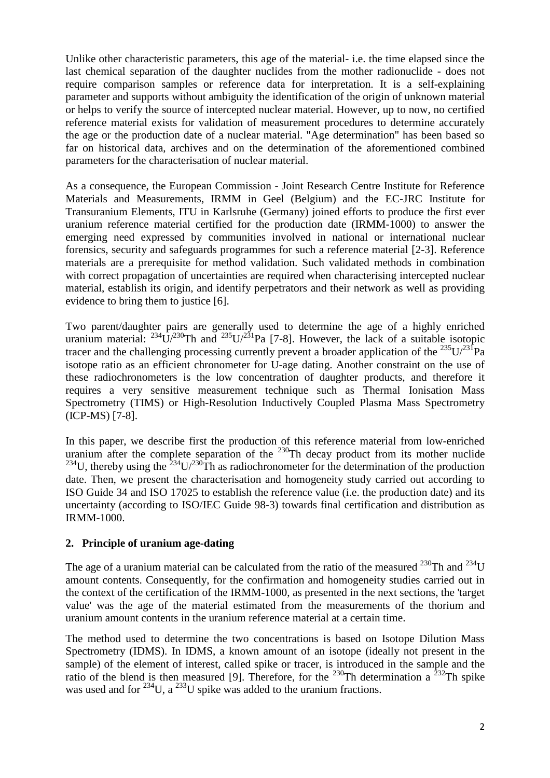Unlike other characteristic parameters, this age of the material- i.e. the time elapsed since the last chemical separation of the daughter nuclides from the mother radionuclide - does not require comparison samples or reference data for interpretation. It is a self-explaining parameter and supports without ambiguity the identification of the origin of unknown material or helps to verify the source of intercepted nuclear material. However, up to now, no certified reference material exists for validation of measurement procedures to determine accurately the age or the production date of a nuclear material. "Age determination" has been based so far on historical data, archives and on the determination of the aforementioned combined parameters for the characterisation of nuclear material.

As a consequence, the European Commission - Joint Research Centre Institute for Reference Materials and Measurements, IRMM in Geel (Belgium) and the EC-JRC Institute for Transuranium Elements, ITU in Karlsruhe (Germany) joined efforts to produce the first ever uranium reference material certified for the production date (IRMM-1000) to answer the emerging need expressed by communities involved in national or international nuclear forensics, security and safeguards programmes for such a reference material [2-3]. Reference materials are a prerequisite for method validation. Such validated methods in combination with correct propagation of uncertainties are required when characterising intercepted nuclear material, establish its origin, and identify perpetrators and their network as well as providing evidence to bring them to justice [6].

Two parent/daughter pairs are generally used to determine the age of a highly enriched uranium material:  $^{234}$ U/ $^{230}$ Th and  $^{235}$ U/ $^{231}$ Pa [7-8]. However, the lack of a suitable isotopic tracer and the challenging processing currently prevent a broader application of the  $^{235}U/^{231}Pa$ isotope ratio as an efficient chronometer for U-age dating. Another constraint on the use of these radiochronometers is the low concentration of daughter products, and therefore it requires a very sensitive measurement technique such as Thermal Ionisation Mass Spectrometry (TIMS) or High-Resolution Inductively Coupled Plasma Mass Spectrometry (ICP-MS) [7-8].

In this paper, we describe first the production of this reference material from low-enriched uranium after the complete separation of the  $^{230}$ Th decay product from its mother nuclide  $234$ U, thereby using the  $234$ U/230 $^2$ Th as radiochronometer for the determination of the production date. Then, we present the characterisation and homogeneity study carried out according to ISO Guide 34 and ISO 17025 to establish the reference value (i.e. the production date) and its uncertainty (according to ISO/IEC Guide 98-3) towards final certification and distribution as IRMM-1000.

# **2. Principle of uranium age-dating**

The age of a uranium material can be calculated from the ratio of the measured <sup>230</sup>Th and <sup>234</sup>U amount contents. Consequently, for the confirmation and homogeneity studies carried out in the context of the certification of the IRMM-1000, as presented in the next sections, the 'target value' was the age of the material estimated from the measurements of the thorium and uranium amount contents in the uranium reference material at a certain time.

The method used to determine the two concentrations is based on Isotope Dilution Mass Spectrometry (IDMS). In IDMS, a known amount of an isotope (ideally not present in the sample) of the element of interest, called spike or tracer, is introduced in the sample and the ratio of the blend is then measured [9]. Therefore, for the <sup>230</sup>Th determination a <sup>232</sup>Th spike was used and for  $^{234}$ U, a  $^{233}$ U spike was added to the uranium fractions.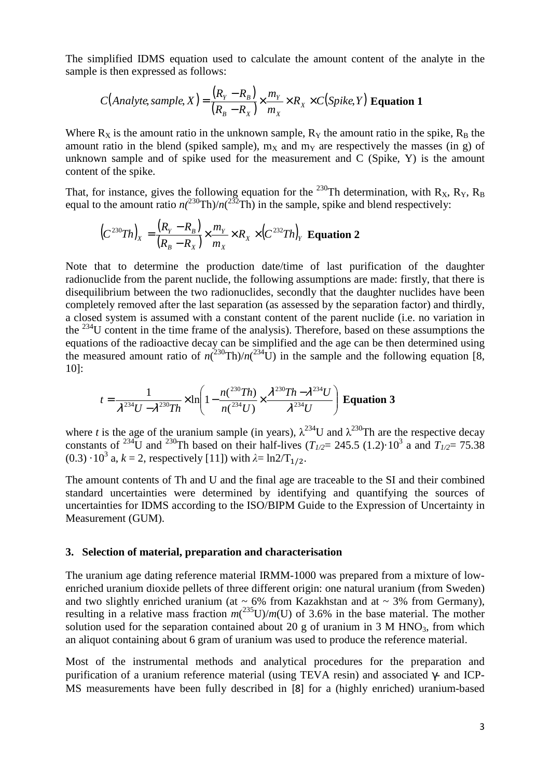The simplified IDMS equation used to calculate the amount content of the analyte in the sample is then expressed as follows:

$$
C(Analyte, sample, X) = \frac{(R_Y - R_B)}{(R_B - R_X)} \times \frac{m_Y}{m_X} \times R_X \times C(Spike, Y)
$$
 Equation 1

Where  $R_X$  is the amount ratio in the unknown sample,  $R_Y$  the amount ratio in the spike,  $R_B$  the amount ratio in the blend (spiked sample),  $m<sub>X</sub>$  and  $m<sub>Y</sub>$  are respectively the masses (in g) of unknown sample and of spike used for the measurement and C (Spike, Y) is the amount content of the spike.

That, for instance, gives the following equation for the <sup>230</sup>Th determination, with  $R_X$ ,  $R_Y$ ,  $R_B$ equal to the amount ratio  $n(^{230}Th)/n(^{232}Th)$  in the sample, spike and blend respectively:

$$
(C^{230}Th)_x = \frac{(R_y - R_B)}{(R_B - R_x)} \times \frac{m_Y}{m_X} \times R_X \times (C^{232}Th)_Y
$$
 Equation 2

Note that to determine the production date/time of last purification of the daughter radionuclide from the parent nuclide, the following assumptions are made: firstly, that there is disequilibrium between the two radionuclides, secondly that the daughter nuclides have been completely removed after the last separation (as assessed by the separation factor) and thirdly, a closed system is assumed with a constant content of the parent nuclide (i.e. no variation in the  $^{234}$ U content in the time frame of the analysis). Therefore, based on these assumptions the equations of the radioactive decay can be simplified and the age can be then determined using the measured amount ratio of  $n(^{230}Th)/n(^{234}U)$  in the sample and the following equation [8, 10]:

$$
t = \frac{1}{\lambda^{234}U - \lambda^{230}Th} \times \ln\left(1 - \frac{n(^{230}Th)}{n(^{234}U)} \times \frac{\lambda^{230}Th - \lambda^{234}U}{\lambda^{234}U}\right)
$$
 Equation 3

where *t* is the age of the uranium sample (in years),  $\lambda^{234}$ U and  $\lambda^{230}$ Th are the respective decay constants of <sup>234</sup>U and <sup>230</sup>Th based on their half-lives ( $T_{1/2}$  = 245.5 (1.2)·10<sup>3</sup> a and  $T_{1/2}$  = 75.38  $(0.3) \cdot 10^3$  a,  $k = 2$ , respectively [11]) with  $\lambda = \ln 2/T_{1/2}$ .

The amount contents of Th and U and the final age are traceable to the SI and their combined standard uncertainties were determined by identifying and quantifying the sources of uncertainties for IDMS according to the ISO/BIPM Guide to the Expression of Uncertainty in Measurement (GUM).

#### **3. Selection of material, preparation and characterisation**

The uranium age dating reference material IRMM-1000 was prepared from a mixture of lowenriched uranium dioxide pellets of three different origin: one natural uranium (from Sweden) and two slightly enriched uranium (at  $\sim 6\%$  from Kazakhstan and at  $\sim 3\%$  from Germany), resulting in a relative mass fraction  $m(^{235}U)/m(U)$  of 3.6% in the base material. The mother solution used for the separation contained about 20 g of uranium in 3 M HNO<sub>3</sub>, from which an aliquot containing about 6 gram of uranium was used to produce the reference material.

Most of the instrumental methods and analytical procedures for the preparation and purification of a uranium reference material (using TEVA resin) and associated γ- and ICP-MS measurements have been fully described in [8] for a (highly enriched) uranium-based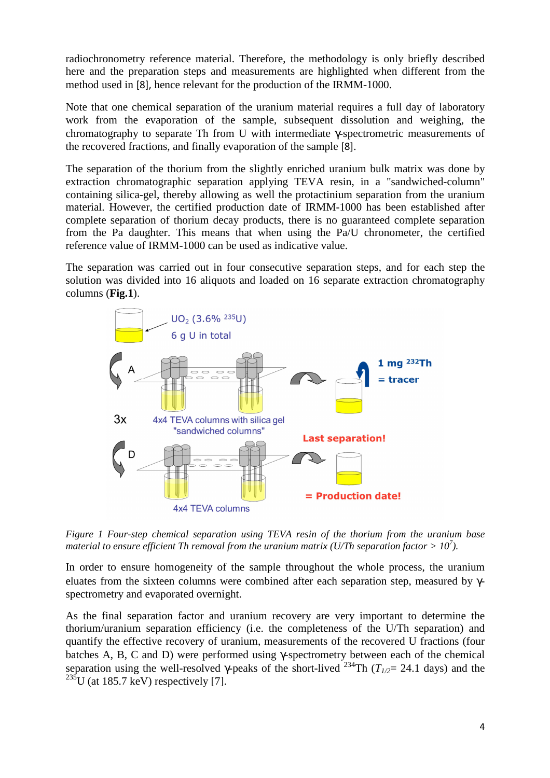radiochronometry reference material. Therefore, the methodology is only briefly described here and the preparation steps and measurements are highlighted when different from the method used in [8], hence relevant for the production of the IRMM-1000.

Note that one chemical separation of the uranium material requires a full day of laboratory work from the evaporation of the sample, subsequent dissolution and weighing, the chromatography to separate Th from U with intermediate γ-spectrometric measurements of the recovered fractions, and finally evaporation of the sample [8].

The separation of the thorium from the slightly enriched uranium bulk matrix was done by extraction chromatographic separation applying TEVA resin, in a "sandwiched-column" containing silica-gel, thereby allowing as well the protactinium separation from the uranium material. However, the certified production date of IRMM-1000 has been established after complete separation of thorium decay products, there is no guaranteed complete separation from the Pa daughter. This means that when using the Pa/U chronometer, the certified reference value of IRMM-1000 can be used as indicative value.

The separation was carried out in four consecutive separation steps, and for each step the solution was divided into 16 aliquots and loaded on 16 separate extraction chromatography columns (**Fig.1**).



*Figure 1 Four-step chemical separation using TEVA resin of the thorium from the uranium base material to ensure efficient Th removal from the uranium matrix (U/Th separation factor > 10<sup>7</sup> ).* 

In order to ensure homogeneity of the sample throughout the whole process, the uranium eluates from the sixteen columns were combined after each separation step, measured by γspectrometry and evaporated overnight.

As the final separation factor and uranium recovery are very important to determine the thorium/uranium separation efficiency (i.e. the completeness of the U/Th separation) and quantify the effective recovery of uranium, measurements of the recovered U fractions (four batches A, B, C and D) were performed using γ-spectrometry between each of the chemical separation using the well-resolved  $\gamma$ -peaks of the short-lived <sup>234</sup>Th ( $T_{1/2}$ = 24.1 days) and the  $^{235}$ U (at 185.7 keV) respectively [7].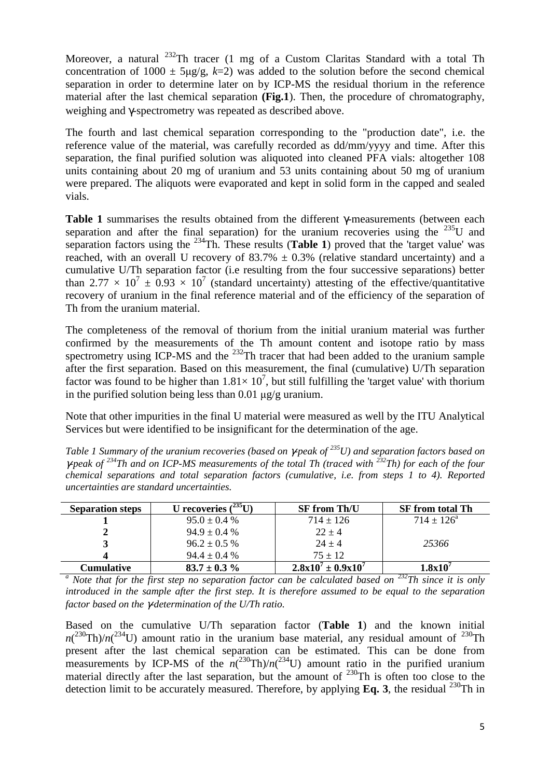Moreover, a natural <sup>232</sup>Th tracer (1 mg of a Custom Claritas Standard with a total Th concentration of  $1000 \pm 5\mu$ g/g, k=2) was added to the solution before the second chemical separation in order to determine later on by ICP-MS the residual thorium in the reference material after the last chemical separation **(Fig.1**). Then, the procedure of chromatography, weighing and γ-spectrometry was repeated as described above.

The fourth and last chemical separation corresponding to the "production date", i.e. the reference value of the material, was carefully recorded as dd/mm/yyyy and time. After this separation, the final purified solution was aliquoted into cleaned PFA vials: altogether 108 units containing about 20 mg of uranium and 53 units containing about 50 mg of uranium were prepared. The aliquots were evaporated and kept in solid form in the capped and sealed vials.

**Table 1** summarises the results obtained from the different γ-measurements (between each separation and after the final separation) for the uranium recoveries using the  $^{235}$ U and separation factors using the  $^{234}$ Th. These results (**Table 1**) proved that the 'target value' was reached, with an overall U recovery of  $83.7\% \pm 0.3\%$  (relative standard uncertainty) and a cumulative U/Th separation factor (i.e resulting from the four successive separations) better than 2.77  $\times$  10<sup>7</sup>  $\pm$  0.93  $\times$  10<sup>7</sup> (standard uncertainty) attesting of the effective/quantitative recovery of uranium in the final reference material and of the efficiency of the separation of Th from the uranium material.

The completeness of the removal of thorium from the initial uranium material was further confirmed by the measurements of the Th amount content and isotope ratio by mass spectrometry using ICP-MS and the  $^{232}$ Th tracer that had been added to the uranium sample after the first separation. Based on this measurement, the final (cumulative) U/Th separation factor was found to be higher than  $1.81 \times 10^7$ , but still fulfilling the 'target value' with thorium in the purified solution being less than  $0.01 \mu$ g/g uranium.

Note that other impurities in the final U material were measured as well by the ITU Analytical Services but were identified to be insignificant for the determination of the age.

*Table 1 Summary of the uranium recoveries (based on γ-peak of <sup>235</sup><i>U)* and separation factors based on <sup>γ</sup>*-peak of <sup>234</sup>Th and on ICP-MS measurements of the total Th (traced with <sup>232</sup>Th) for each of the four chemical separations and total separation factors (cumulative, i.e. from steps 1 to 4). Reported uncertainties are standard uncertainties.* 

| <b>Separation steps</b> | 74331<br>U recoveries | <b>SF from Th/U</b>         | <b>SF</b> from total Th |
|-------------------------|-----------------------|-----------------------------|-------------------------|
|                         | $95.0 \pm 0.4$ %      | $714 \pm 126$               | $714 \pm 126^{\circ}$   |
|                         | $94.9 \pm 0.4 \%$     | $22 + 4$                    |                         |
|                         | $96.2 \pm 0.5\%$      | $24 + 4$                    | 25366                   |
|                         | $94.4 \pm 0.4 \%$     | $75 \pm 12$                 |                         |
| <b>Cumulative</b>       | $83.7 \pm 0.3 \%$     | $2.8x10^{7} \pm 0.9x10^{7}$ | $1.8 \mathrm{x} 10^7$   |

<sup>*a*</sup> Note that for the first step no separation factor can be calculated based on <sup>232</sup>*Th since it is only introduced in the sample after the first step. It is therefore assumed to be equal to the separation factor based on the* γ*-determination of the U/Th ratio.* 

Based on the cumulative U/Th separation factor (**Table 1**) and the known initial  $n(^{230}Th)/n(^{234}U)$  amount ratio in the uranium base material, any residual amount of <sup>230</sup>Th present after the last chemical separation can be estimated. This can be done from measurements by ICP-MS of the  $n(^{230}Th)/n(^{234}U)$  amount ratio in the purified uranium material directly after the last separation, but the amount of  $^{230}$ Th is often too close to the detection limit to be accurately measured. Therefore, by applying  $\mathbf{Eq}$ , 3, the residual  $^{230}\text{Th}$  in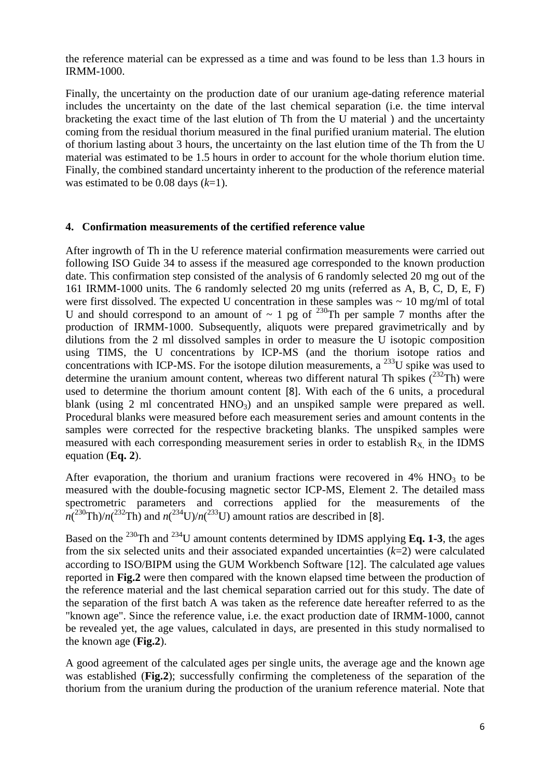the reference material can be expressed as a time and was found to be less than 1.3 hours in IRMM-1000.

Finally, the uncertainty on the production date of our uranium age-dating reference material includes the uncertainty on the date of the last chemical separation (i.e. the time interval bracketing the exact time of the last elution of Th from the U material ) and the uncertainty coming from the residual thorium measured in the final purified uranium material. The elution of thorium lasting about 3 hours, the uncertainty on the last elution time of the Th from the U material was estimated to be 1.5 hours in order to account for the whole thorium elution time. Finally, the combined standard uncertainty inherent to the production of the reference material was estimated to be 0.08 days (*k*=1).

### **4. Confirmation measurements of the certified reference value**

After ingrowth of Th in the U reference material confirmation measurements were carried out following ISO Guide 34 to assess if the measured age corresponded to the known production date. This confirmation step consisted of the analysis of 6 randomly selected 20 mg out of the 161 IRMM-1000 units. The 6 randomly selected 20 mg units (referred as A, B, C, D, E, F) were first dissolved. The expected U concentration in these samples was  $\sim 10$  mg/ml of total U and should correspond to an amount of  $\sim 1$  pg of <sup>230</sup>Th per sample 7 months after the production of IRMM-1000. Subsequently, aliquots were prepared gravimetrically and by dilutions from the 2 ml dissolved samples in order to measure the U isotopic composition using TIMS, the U concentrations by ICP-MS (and the thorium isotope ratios and concentrations with ICP-MS. For the isotope dilution measurements, a  $^{233}U$  spike was used to determine the uranium amount content, whereas two different natural Th spikes  $(^{232}Th)$  were used to determine the thorium amount content [8]. With each of the 6 units, a procedural blank (using 2 ml concentrated  $HNO<sub>3</sub>$ ) and an unspiked sample were prepared as well. Procedural blanks were measured before each measurement series and amount contents in the samples were corrected for the respective bracketing blanks. The unspiked samples were measured with each corresponding measurement series in order to establish  $R_X$  in the IDMS equation (**Eq. 2**).

After evaporation, the thorium and uranium fractions were recovered in  $4\%$  HNO<sub>3</sub> to be measured with the double-focusing magnetic sector ICP-MS, Element 2. The detailed mass spectrometric parameters and corrections applied for the measurements of the  $n(^{230} \text{Th})/n(^{232} \text{Th})$  and  $n(^{234} \text{U})/n(^{233} \text{U})$  amount ratios are described in [8].

Based on the <sup>230</sup>Th and <sup>234</sup>U amount contents determined by IDMS applying **Eq. 1-3**, the ages from the six selected units and their associated expanded uncertainties (*k*=2) were calculated according to ISO/BIPM using the GUM Workbench Software [12]. The calculated age values reported in **Fig.2** were then compared with the known elapsed time between the production of the reference material and the last chemical separation carried out for this study. The date of the separation of the first batch A was taken as the reference date hereafter referred to as the "known age". Since the reference value, i.e. the exact production date of IRMM-1000, cannot be revealed yet, the age values, calculated in days, are presented in this study normalised to the known age (**Fig.2**).

A good agreement of the calculated ages per single units, the average age and the known age was established (**Fig.2**); successfully confirming the completeness of the separation of the thorium from the uranium during the production of the uranium reference material. Note that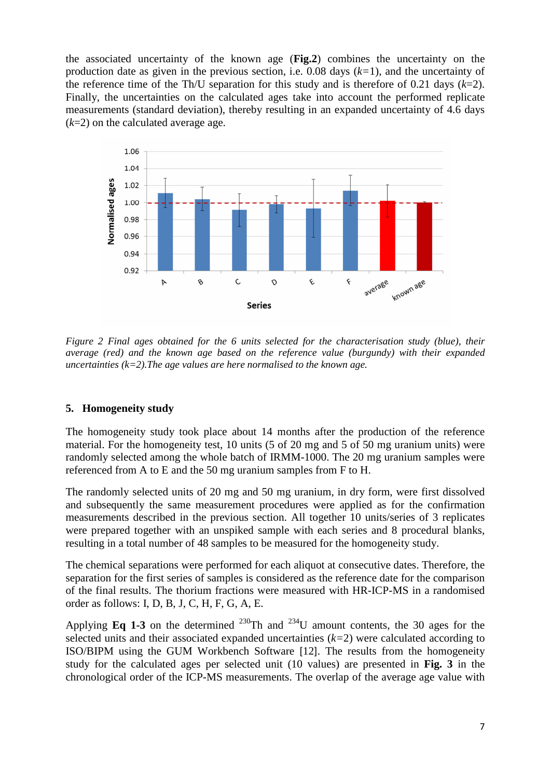the associated uncertainty of the known age (**Fig.2**) combines the uncertainty on the production date as given in the previous section, i.e. 0.08 days (*k=*1), and the uncertainty of the reference time of the Th/U separation for this study and is therefore of 0.21 days (*k*=2). Finally, the uncertainties on the calculated ages take into account the performed replicate measurements (standard deviation), thereby resulting in an expanded uncertainty of 4.6 days (*k*=2) on the calculated average age.



*Figure 2 Final ages obtained for the 6 units selected for the characterisation study (blue), their average (red) and the known age based on the reference value (burgundy) with their expanded uncertainties (k=2).The age values are here normalised to the known age.* 

#### **5. Homogeneity study**

The homogeneity study took place about 14 months after the production of the reference material. For the homogeneity test, 10 units (5 of 20 mg and 5 of 50 mg uranium units) were randomly selected among the whole batch of IRMM-1000. The 20 mg uranium samples were referenced from A to E and the 50 mg uranium samples from F to H.

The randomly selected units of 20 mg and 50 mg uranium, in dry form, were first dissolved and subsequently the same measurement procedures were applied as for the confirmation measurements described in the previous section. All together 10 units/series of 3 replicates were prepared together with an unspiked sample with each series and 8 procedural blanks, resulting in a total number of 48 samples to be measured for the homogeneity study.

The chemical separations were performed for each aliquot at consecutive dates. Therefore, the separation for the first series of samples is considered as the reference date for the comparison of the final results. The thorium fractions were measured with HR-ICP-MS in a randomised order as follows: I, D, B, J, C, H, F, G, A, E.

Applying **Eq 1-3** on the determined <sup>230</sup>Th and <sup>234</sup>U amount contents, the 30 ages for the selected units and their associated expanded uncertainties (*k=*2) were calculated according to ISO/BIPM using the GUM Workbench Software [12]. The results from the homogeneity study for the calculated ages per selected unit (10 values) are presented in **Fig. 3** in the chronological order of the ICP-MS measurements. The overlap of the average age value with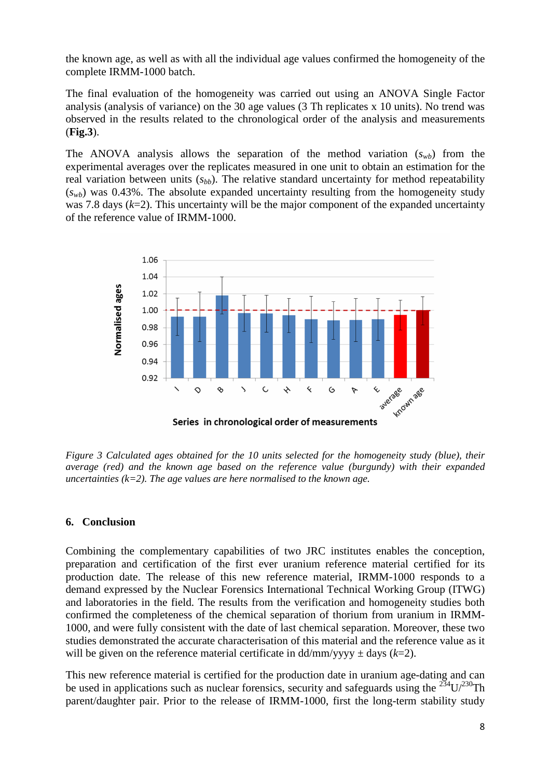the known age, as well as with all the individual age values confirmed the homogeneity of the complete IRMM-1000 batch.

The final evaluation of the homogeneity was carried out using an ANOVA Single Factor analysis (analysis of variance) on the 30 age values (3 Th replicates x 10 units). No trend was observed in the results related to the chronological order of the analysis and measurements (**Fig.3**).

The ANOVA analysis allows the separation of the method variation  $(s_{wb})$  from the experimental averages over the replicates measured in one unit to obtain an estimation for the real variation between units  $(s_{bb})$ . The relative standard uncertainty for method repeatability  $(s_{wb})$  was 0.43%. The absolute expanded uncertainty resulting from the homogeneity study was 7.8 days (*k*=2). This uncertainty will be the major component of the expanded uncertainty of the reference value of IRMM-1000.



*Figure 3 Calculated ages obtained for the 10 units selected for the homogeneity study (blue), their average (red) and the known age based on the reference value (burgundy) with their expanded uncertainties (k=2). The age values are here normalised to the known age.* 

#### **6. Conclusion**

Combining the complementary capabilities of two JRC institutes enables the conception, preparation and certification of the first ever uranium reference material certified for its production date. The release of this new reference material, IRMM-1000 responds to a demand expressed by the Nuclear Forensics International Technical Working Group (ITWG) and laboratories in the field. The results from the verification and homogeneity studies both confirmed the completeness of the chemical separation of thorium from uranium in IRMM-1000, and were fully consistent with the date of last chemical separation. Moreover, these two studies demonstrated the accurate characterisation of this material and the reference value as it will be given on the reference material certificate in  $\frac{d}{m}$  vyw  $\pm$  days (*k*=2).

This new reference material is certified for the production date in uranium age-dating and can be used in applications such as nuclear forensics, security and safeguards using the  $^{234}U^{230}Th$ parent/daughter pair. Prior to the release of IRMM-1000, first the long-term stability study